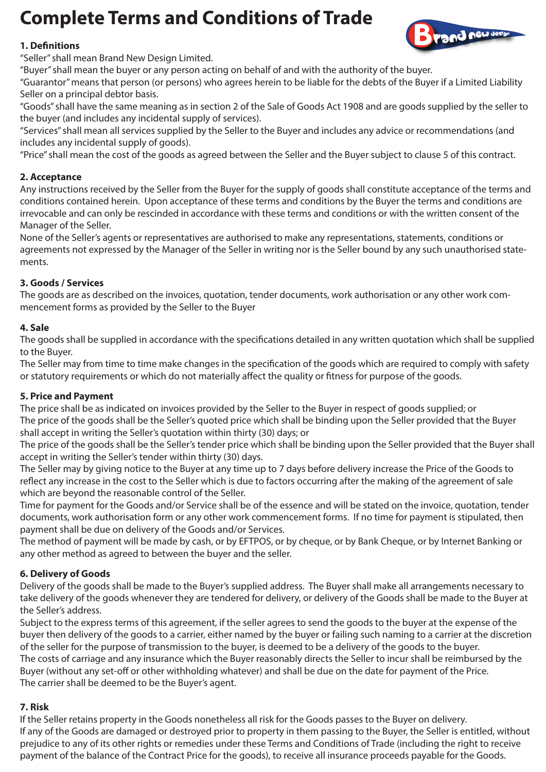# **Complete Terms and Conditions of Trade**



## **1. Denitions**

"Seller" shall mean Brand New Design Limited.

"Buyer" shall mean the buyer or any person acting on behalf of and with the authority of the buyer.

"Guarantor" means that person (or persons) who agrees herein to be liable for the debts of the Buyer if a Limited Liability Seller on a principal debtor basis.

"Goods" shall have the same meaning as in section 2 of the Sale of Goods Act 1908 and are goods supplied by the seller to the buyer (and includes any incidental supply of services).

"Services" shall mean all services supplied by the Seller to the Buyer and includes any advice or recommendations (and includes any incidental supply of goods).

"Price" shall mean the cost of the goods as agreed between the Seller and the Buyer subject to clause 5 of this contract.

## **2. Acceptance**

Any instructions received by the Seller from the Buyer for the supply of goods shall constitute acceptance of the terms and conditions contained herein. Upon acceptance of these terms and conditions by the Buyer the terms and conditions are irrevocable and can only be rescinded in accordance with these terms and conditions or with the written consent of the Manager of the Seller.

None of the Seller's agents or representatives are authorised to make any representations, statements, conditions or agreements not expressed by the Manager of the Seller in writing nor is the Seller bound by any such unauthorised statements.

## **3. Goods / Services**

The goods are as described on the invoices, quotation, tender documents, work authorisation or any other work commencement forms as provided by the Seller to the Buyer

## **4. Sale**

The goods shall be supplied in accordance with the specifications detailed in any written quotation which shall be supplied to the Buyer.

The Seller may from time to time make changes in the specification of the goods which are required to comply with safety or statutory requirements or which do not materially affect the quality or fitness for purpose of the goods.

## **5. Price and Payment**

The price shall be as indicated on invoices provided by the Seller to the Buyer in respect of goods supplied; or The price of the goods shall be the Seller's quoted price which shall be binding upon the Seller provided that the Buyer shall accept in writing the Seller's quotation within thirty (30) days; or

The price of the goods shall be the Seller's tender price which shall be binding upon the Seller provided that the Buyer shall accept in writing the Seller's tender within thirty (30) days.

The Seller may by giving notice to the Buyer at any time up to 7 days before delivery increase the Price of the Goods to reflect any increase in the cost to the Seller which is due to factors occurring after the making of the agreement of sale which are beyond the reasonable control of the Seller.

Time for payment for the Goods and/or Service shall be of the essence and will be stated on the invoice, quotation, tender documents, work authorisation form or any other work commencement forms. If no time for payment is stipulated, then payment shall be due on delivery of the Goods and/or Services.

The method of payment will be made by cash, or by EFTPOS, or by cheque, or by Bank Cheque, or by Internet Banking or any other method as agreed to between the buyer and the seller.

## **6. Delivery of Goods**

Delivery of the goods shall be made to the Buyer's supplied address. The Buyer shall make all arrangements necessary to take delivery of the goods whenever they are tendered for delivery, or delivery of the Goods shall be made to the Buyer at the Seller's address.

Subject to the express terms of this agreement, if the seller agrees to send the goods to the buyer at the expense of the buyer then delivery of the goods to a carrier, either named by the buyer or failing such naming to a carrier at the discretion of the seller for the purpose of transmission to the buyer, is deemed to be a delivery of the goods to the buyer. The costs of carriage and any insurance which the Buyer reasonably directs the Seller to incur shall be reimbursed by the Buyer (without any set-off or other withholding whatever) and shall be due on the date for payment of the Price. The carrier shall be deemed to be the Buyer's agent.

## **7. Risk**

If the Seller retains property in the Goods nonetheless all risk for the Goods passes to the Buyer on delivery. If any of the Goods are damaged or destroyed prior to property in them passing to the Buyer, the Seller is entitled, without prejudice to any of its other rights or remedies under these Terms and Conditions of Trade (including the right to receive payment of the balance of the Contract Price for the goods), to receive all insurance proceeds payable for the Goods.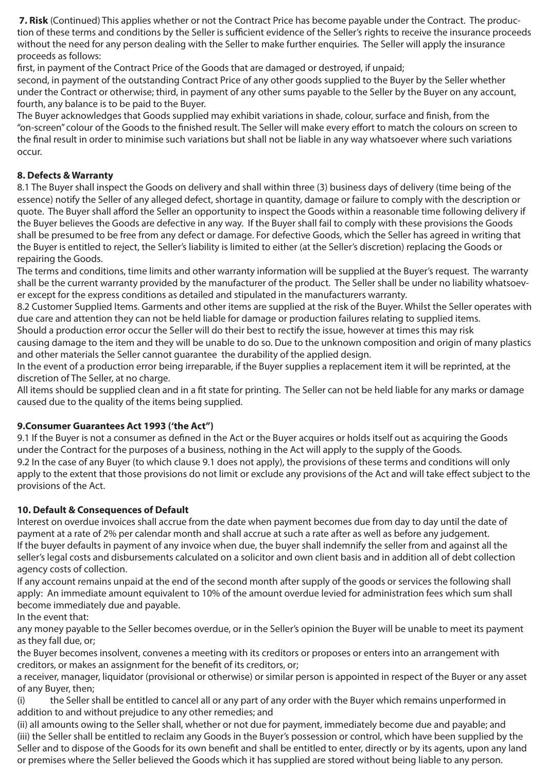**7. Risk** (Continued) This applies whether or not the Contract Price has become payable under the Contract. The production of these terms and conditions by the Seller is sufficient evidence of the Seller's rights to receive the insurance proceeds without the need for any person dealing with the Seller to make further enquiries. The Seller will apply the insurance proceeds as follows:

first, in payment of the Contract Price of the Goods that are damaged or destroyed, if unpaid;

second, in payment of the outstanding Contract Price of any other goods supplied to the Buyer by the Seller whether under the Contract or otherwise; third, in payment of any other sums payable to the Seller by the Buyer on any account, fourth, any balance is to be paid to the Buyer.

The Buyer acknowledges that Goods supplied may exhibit variations in shade, colour, surface and finish, from the "on-screen" colour of the Goods to the finished result. The Seller will make every effort to match the colours on screen to the final result in order to minimise such variations but shall not be liable in any way whatsoever where such variations occur.

# **8. Defects & Warranty**

8.1 The Buyer shall inspect the Goods on delivery and shall within three (3) business days of delivery (time being of the essence) notify the Seller of any alleged defect, shortage in quantity, damage or failure to comply with the description or quote. The Buyer shall afford the Seller an opportunity to inspect the Goods within a reasonable time following delivery if the Buyer believes the Goods are defective in any way. If the Buyer shall fail to comply with these provisions the Goods shall be presumed to be free from any defect or damage. For defective Goods, which the Seller has agreed in writing that the Buyer is entitled to reject, the Seller's liability is limited to either (at the Seller's discretion) replacing the Goods or repairing the Goods.

The terms and conditions, time limits and other warranty information will be supplied at the Buyer's request. The warranty shall be the current warranty provided by the manufacturer of the product. The Seller shall be under no liability whatsoever except for the express conditions as detailed and stipulated in the manufacturers warranty.

8.2 Customer Supplied Items. Garments and other items are supplied at the risk of the Buyer. Whilst the Seller operates with due care and attention they can not be held liable for damage or production failures relating to supplied items.

Should a production error occur the Seller will do their best to rectify the issue, however at times this may risk

causing damage to the item and they will be unable to do so. Due to the unknown composition and origin of many plastics and other materials the Seller cannot guarantee the durability of the applied design.

In the event of a production error being irreparable, if the Buyer supplies a replacement item it will be reprinted, at the discretion of The Seller, at no charge.

All items should be supplied clean and in a fit state for printing. The Seller can not be held liable for any marks or damage caused due to the quality of the items being supplied.

## **9.Consumer Guarantees Act 1993 ('the Act")**

9.1 If the Buyer is not a consumer as defined in the Act or the Buyer acquires or holds itself out as acquiring the Goods under the Contract for the purposes of a business, nothing in the Act will apply to the supply of the Goods. 9.2 In the case of any Buyer (to which clause 9.1 does not apply), the provisions of these terms and conditions will only apply to the extent that those provisions do not limit or exclude any provisions of the Act and will take effect subject to the provisions of the Act.

## **10. Default & Consequences of Default**

Interest on overdue invoices shall accrue from the date when payment becomes due from day to day until the date of payment at a rate of 2% per calendar month and shall accrue at such a rate after as well as before any judgement. If the buyer defaults in payment of any invoice when due, the buyer shall indemnify the seller from and against all the seller's legal costs and disbursements calculated on a solicitor and own client basis and in addition all of debt collection agency costs of collection.

If any account remains unpaid at the end of the second month after supply of the goods or services the following shall apply: An immediate amount equivalent to 10% of the amount overdue levied for administration fees which sum shall become immediately due and payable.

In the event that:

any money payable to the Seller becomes overdue, or in the Seller's opinion the Buyer will be unable to meet its payment as they fall due, or;

the Buyer becomes insolvent, convenes a meeting with its creditors or proposes or enters into an arrangement with creditors, or makes an assignment for the benefit of its creditors, or;

a receiver, manager, liquidator (provisional or otherwise) or similar person is appointed in respect of the Buyer or any asset of any Buyer, then;

(i) the Seller shall be entitled to cancel all or any part of any order with the Buyer which remains unperformed in addition to and without prejudice to any other remedies; and

(ii) all amounts owing to the Seller shall, whether or not due for payment, immediately become due and payable; and (iii) the Seller shall be entitled to reclaim any Goods in the Buyer's possession or control, which have been supplied by the Seller and to dispose of the Goods for its own benefit and shall be entitled to enter, directly or by its agents, upon any land or premises where the Seller believed the Goods which it has supplied are stored without being liable to any person.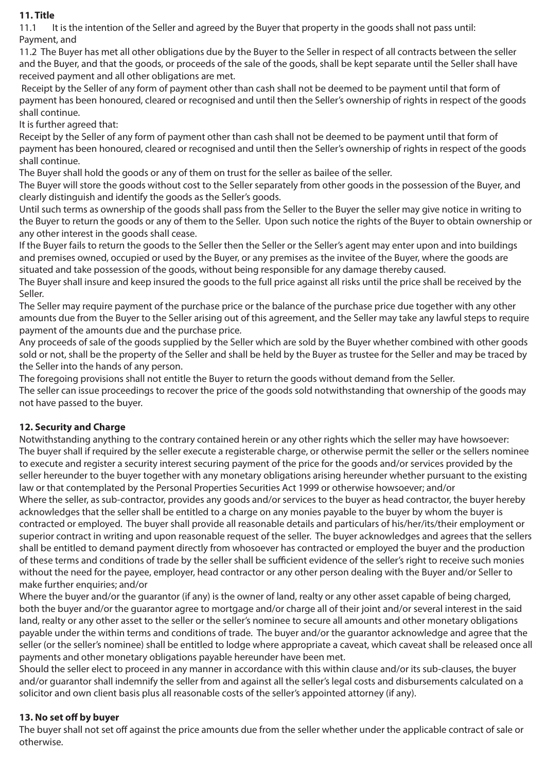## **11. Title**

11.1 It is the intention of the Seller and agreed by the Buyer that property in the goods shall not pass until: Payment, and

11.2 The Buyer has met all other obligations due by the Buyer to the Seller in respect of all contracts between the seller and the Buyer, and that the goods, or proceeds of the sale of the goods, shall be kept separate until the Seller shall have received payment and all other obligations are met.

 Receipt by the Seller of any form of payment other than cash shall not be deemed to be payment until that form of payment has been honoured, cleared or recognised and until then the Seller's ownership of rights in respect of the goods shall continue.

It is further agreed that:

Receipt by the Seller of any form of payment other than cash shall not be deemed to be payment until that form of payment has been honoured, cleared or recognised and until then the Seller's ownership of rights in respect of the goods shall continue.

The Buyer shall hold the goods or any of them on trust for the seller as bailee of the seller.

The Buyer will store the goods without cost to the Seller separately from other goods in the possession of the Buyer, and clearly distinguish and identify the goods as the Seller's goods.

Until such terms as ownership of the goods shall pass from the Seller to the Buyer the seller may give notice in writing to the Buyer to return the goods or any of them to the Seller. Upon such notice the rights of the Buyer to obtain ownership or any other interest in the goods shall cease.

If the Buyer fails to return the goods to the Seller then the Seller or the Seller's agent may enter upon and into buildings and premises owned, occupied or used by the Buyer, or any premises as the invitee of the Buyer, where the goods are situated and take possession of the goods, without being responsible for any damage thereby caused.

The Buyer shall insure and keep insured the goods to the full price against all risks until the price shall be received by the Seller.

The Seller may require payment of the purchase price or the balance of the purchase price due together with any other amounts due from the Buyer to the Seller arising out of this agreement, and the Seller may take any lawful steps to require payment of the amounts due and the purchase price.

Any proceeds of sale of the goods supplied by the Seller which are sold by the Buyer whether combined with other goods sold or not, shall be the property of the Seller and shall be held by the Buyer as trustee for the Seller and may be traced by the Seller into the hands of any person.

The foregoing provisions shall not entitle the Buyer to return the goods without demand from the Seller.

The seller can issue proceedings to recover the price of the goods sold notwithstanding that ownership of the goods may not have passed to the buyer.

## **12. Security and Charge**

Notwithstanding anything to the contrary contained herein or any other rights which the seller may have howsoever: The buyer shall if required by the seller execute a registerable charge, or otherwise permit the seller or the sellers nominee to execute and register a security interest securing payment of the price for the goods and/or services provided by the seller hereunder to the buyer together with any monetary obligations arising hereunder whether pursuant to the existing law or that contemplated by the Personal Properties Securities Act 1999 or otherwise howsoever; and/or

Where the seller, as sub-contractor, provides any goods and/or services to the buyer as head contractor, the buyer hereby acknowledges that the seller shall be entitled to a charge on any monies payable to the buyer by whom the buyer is contracted or employed. The buyer shall provide all reasonable details and particulars of his/her/its/their employment or superior contract in writing and upon reasonable request of the seller. The buyer acknowledges and agrees that the sellers shall be entitled to demand payment directly from whosoever has contracted or employed the buyer and the production of these terms and conditions of trade by the seller shall be sufficient evidence of the seller's right to receive such monies without the need for the payee, employer, head contractor or any other person dealing with the Buyer and/or Seller to make further enquiries; and/or

Where the buyer and/or the guarantor (if any) is the owner of land, realty or any other asset capable of being charged, both the buyer and/or the guarantor agree to mortgage and/or charge all of their joint and/or several interest in the said land, realty or any other asset to the seller or the seller's nominee to secure all amounts and other monetary obligations payable under the within terms and conditions of trade. The buyer and/or the guarantor acknowledge and agree that the seller (or the seller's nominee) shall be entitled to lodge where appropriate a caveat, which caveat shall be released once all payments and other monetary obligations payable hereunder have been met.

Should the seller elect to proceed in any manner in accordance with this within clause and/or its sub-clauses, the buyer and/or guarantor shall indemnify the seller from and against all the seller's legal costs and disbursements calculated on a solicitor and own client basis plus all reasonable costs of the seller's appointed attorney (if any).

## 13. No set off by buyer

The buyer shall not set off against the price amounts due from the seller whether under the applicable contract of sale or otherwise.